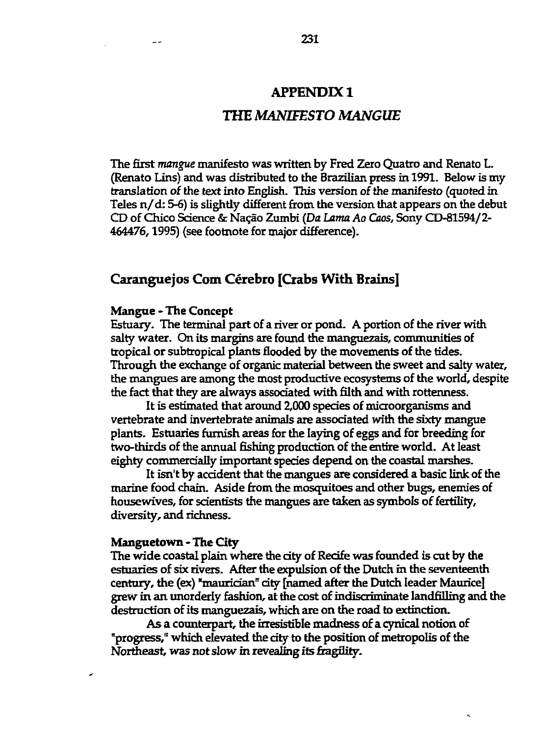# **APPENDIX 1 THE** *MANIFESTO MANGUE*

The first *mangue* manifesto was written by Fred Zero Quatro and Renato L. (Renato Lins) and was distributed to the Brazilian press in 1991. Below is my translation of the text into English. This version of the manifesto (quoted in Teles n/d: 5-6) is slightly different from the version that appears on the debut CD of Chico Science & Nagao Zumbi *{Da Lama Ao Caos,* Sony CD-81594/2- 464476,1995) (see footnote for major difference).

## **Caranguejos Com Cerebro [Crabs With Brains]**

#### **Mangue** - The Concept

Estuary. The terminal part of a river or pond. A portion of the river with salty water. On its margins are found the manguezais, communities of tropical or subtropical plants flooded by the movements of the tides. Through the exchange of organic material between the sweet and salty water, the mangues are among the most productive ecosystems of the world, despite the fact that they are always associated with filth and with rottenness.

It is estimated that around 2,000 species of microorganisms and vertebrate and invertebrate animals are associated with the sixty mangue plants. Estuaries furnish areas for the laying of eggs and for breeding for two-thirds of the annual fishing production of the entire world. At least eighty commercially important species depend on the coastal marshes.

It isn't by accident that the mangues are considered a basic link of the marine food chain. Aside from the mosquitoes and other bugs, enemies of housewives, for scientists the mangues are taken as symbols of fertility, diversity, and richness.

#### **Manguetown** - **The City**

The wide coastal plain where the city of Recife was founded is cut by the estuaries of six rivers. After the expulsion of the Dutch in the seventeenth century, the (ex) "maurician" city [named after the Dutch leader Maurice] grew in an unorderly fashion, at the cost of indiscriminate landfilling and the destruction of its manguezais, which are on the road to extinction.

As **a** counterpart, the irresistible madness of **a** cynical notion of "progress," which elevated the city to the position of metropolis of the Northeast, was not slow in revealing its fragility.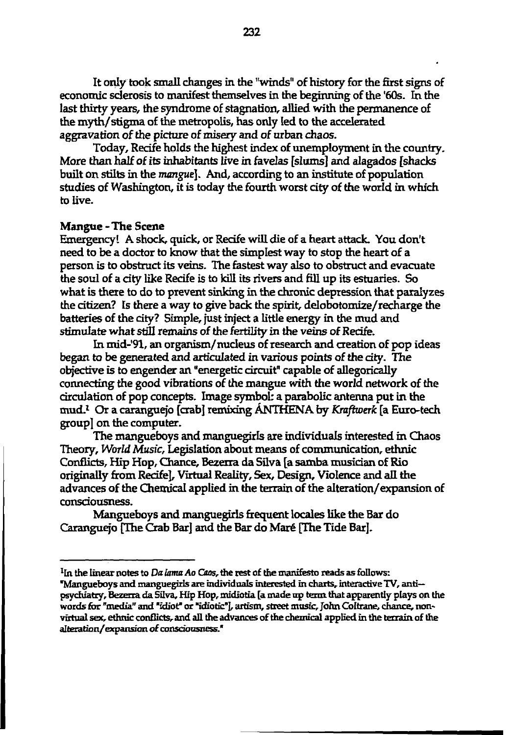It only took small changes in the "winds" of history for the first signs of economic sclerosis to manifest themselves in the beginning of the '60s. In the last thirty years, the syndrome of stagnation, allied with the permanence of the myth/stigma of the metropolis, has only led to the accelerated aggravation of the picture of misery and of urban chaos.

Today, Recife holds the highest index of unemployment in the country. More than half of its inhabitants live in favelas [slums] and alagados [shacks built on stilts in the *mangue].* And, according to an institute of population studies of Washington, it is today the fourth worst city of the world in which to live.

#### Mangue - The Scene

Emergency! A shock, quick, or Recife will die of a heart attack. You don't need to be a doctor to know that the simplest way to stop the heart of a person is to obstruct its veins. The fastest way also to obstruct and evacuate the soul of a city like Recife is to kill its rivers and fill up its estuaries. So what is there to do to prevent sinking in the chronic depression that paralyzes the citizen? Is there a way to give back the spirit, delobotomize/recharge the batteries of the city? Simple, fust inject a little energy in the mud and stimulate what still remains of the fertility in the veins of Recife.

In mid-91, an organism/ nucleus of research and creation of pop ideas began to be generated and articulated in various points of the city. The objective is to engender an "energetic circuit" capable of allegorically connecting the good vibrations of the mangue with the world network of the circulation of pop concepts. Image symbol: a parabolic antenna put in the mud.<sup>1</sup> Or a caranguejo [crab] remixing ANTHENA by *Kraftwerk* [a Euro-tech group] on the computer.

The mangueboys and manguegirls are individuals interested in Chaos Theory, *World Music,* Legislation about means of communication, ethnic Conflicts, Hip Hop, Chance, Bezerra da Silva [a samba musician of Rio originally from Recife], Virtual Reality, Sex, Design, Violence and all the advances of the Chemical applied in the terrain of the alteration/expansion of consciousness.

Mangueboys and manguegirls frequent locales like the Bar do Caranguejo [The Crab Bar] and the Bar do Mare [The Tide Bar].

<sup>&</sup>lt;sup>I</sup>In the linear notes to *Da lama Ao Caos*, the rest of the manifesto reads as follows: "Mangueboys and manguegirls are individuals interested in charts, interactive TV, antipsychiatry, Bezerra da Silva, Hip Hop, midiotia [a made up term that apparently plays on the words for "media" and "idiot" or "idiotic"], artism, street music, John Coltrane, chance, nonvirtual sex, ethnic conflicts, and all the advances of the chemical applied in the terrain, of the alteration/expansion of consciousness.\*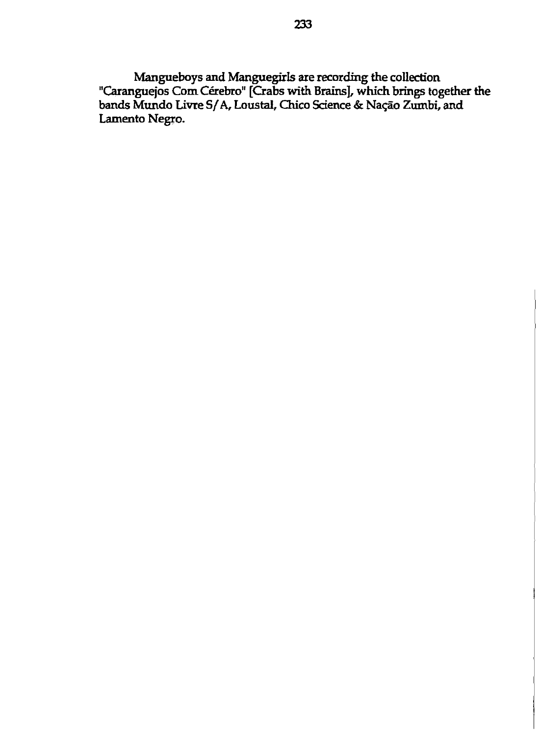Mangueboys and Manguegirls are recording the collection "Caranguejos ComCerebro" [Crabs with Brains], which brings together the bands Mundo Livre S/A, Loustal, Chico Science & Nacao Zumbi, and Lamento Negro.